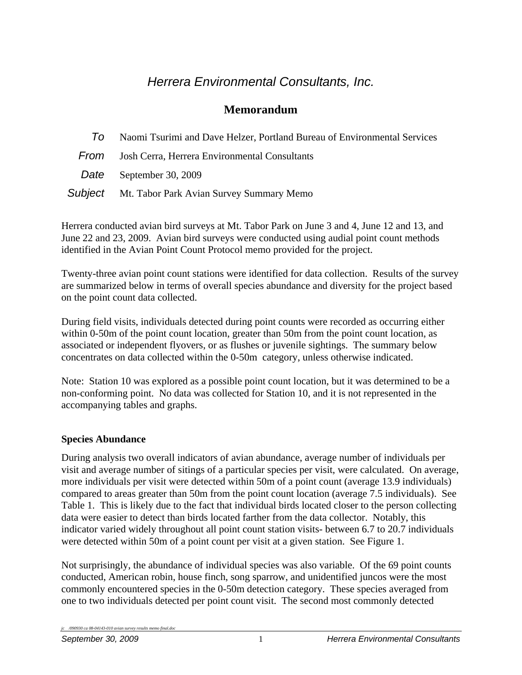# *Herrera Environmental Consultants, Inc.*

## **Memorandum**

- *To* Naomi Tsurimi and Dave Helzer, Portland Bureau of Environmental Services
- *From* Josh Cerra, Herrera Environmental Consultants
- *Date* September 30, 2009
- *Subject* Mt. Tabor Park Avian Survey Summary Memo

Herrera conducted avian bird surveys at Mt. Tabor Park on June 3 and 4, June 12 and 13, and June 22 and 23, 2009. Avian bird surveys were conducted using audial point count methods identified in the Avian Point Count Protocol memo provided for the project.

Twenty-three avian point count stations were identified for data collection. Results of the survey are summarized below in terms of overall species abundance and diversity for the project based on the point count data collected.

During field visits, individuals detected during point counts were recorded as occurring either within 0-50m of the point count location, greater than 50m from the point count location, as associated or independent flyovers, or as flushes or juvenile sightings. The summary below concentrates on data collected within the 0-50m category, unless otherwise indicated.

Note: Station 10 was explored as a possible point count location, but it was determined to be a non-conforming point. No data was collected for Station 10, and it is not represented in the accompanying tables and graphs.

### **Species Abundance**

During analysis two overall indicators of avian abundance, average number of individuals per visit and average number of sitings of a particular species per visit, were calculated. On average, more individuals per visit were detected within 50m of a point count (average 13.9 individuals) compared to areas greater than 50m from the point count location (average 7.5 individuals). See Table 1. This is likely due to the fact that individual birds located closer to the person collecting data were easier to detect than birds located farther from the data collector. Notably, this indicator varied widely throughout all point count station visits- between 6.7 to 20.7 individuals were detected within 50m of a point count per visit at a given station. See Figure 1.

Not surprisingly, the abundance of individual species was also variable. Of the 69 point counts conducted, American robin, house finch, song sparrow, and unidentified juncos were the most commonly encountered species in the 0-50m detection category. These species averaged from one to two individuals detected per point count visit. The second most commonly detected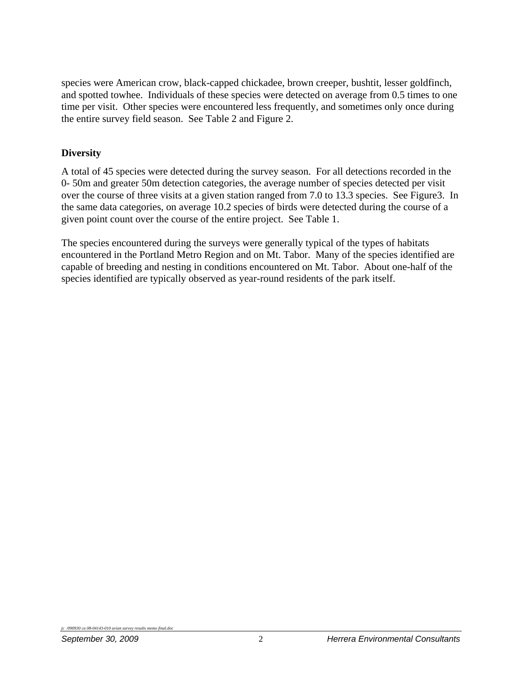species were American crow, black-capped chickadee, brown creeper, bushtit, lesser goldfinch, and spotted towhee. Individuals of these species were detected on average from 0.5 times to one time per visit. Other species were encountered less frequently, and sometimes only once during the entire survey field season. See Table 2 and Figure 2.

#### **Diversity**

A total of 45 species were detected during the survey season. For all detections recorded in the 0- 50m and greater 50m detection categories, the average number of species detected per visit over the course of three visits at a given station ranged from 7.0 to 13.3 species. See Figure3. In the same data categories, on average 10.2 species of birds were detected during the course of a given point count over the course of the entire project. See Table 1.

The species encountered during the surveys were generally typical of the types of habitats encountered in the Portland Metro Region and on Mt. Tabor. Many of the species identified are capable of breeding and nesting in conditions encountered on Mt. Tabor. About one-half of the species identified are typically observed as year-round residents of the park itself.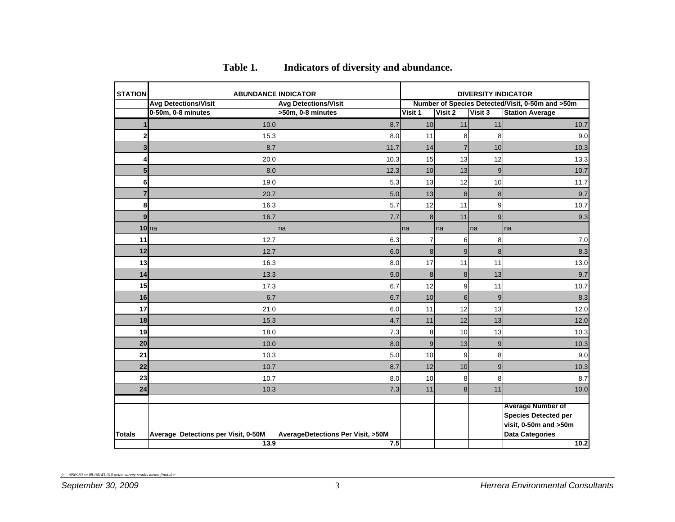| <b>STATION</b> | <b>ABUNDANCE INDICATOR</b>          |                                             |                | <b>DIVERSITY INDICATOR</b> |                                                  |                                                                                                            |  |
|----------------|-------------------------------------|---------------------------------------------|----------------|----------------------------|--------------------------------------------------|------------------------------------------------------------------------------------------------------------|--|
|                | <b>Avg Detections/Visit</b>         | <b>Avg Detections/Visit</b>                 |                |                            | Number of Species Detected/Visit, 0-50m and >50m |                                                                                                            |  |
|                | 0-50m, 0-8 minutes                  | >50m, 0-8 minutes                           | Visit 1        | Visit 2                    | Visit 3                                          | <b>Station Average</b>                                                                                     |  |
|                | 10.0                                | 8.7                                         | 10             | 11                         | 11                                               | 10.7                                                                                                       |  |
| $\mathbf 2$    | 15.3                                | 8.0                                         | 11             | 8                          | 8                                                | 9.0                                                                                                        |  |
| 3              | 8.7                                 | 11.7                                        | 14             | $\overline{7}$             | 10                                               | 10.3                                                                                                       |  |
| 4              | 20.0                                | 10.3                                        | 15             | 13                         | 12                                               | 13.3                                                                                                       |  |
| 5              | 8.0                                 | 12.3                                        | 10             | 13                         | 9                                                | 10.7                                                                                                       |  |
| 6              | 19.0                                | 5.3                                         | 13             | 12                         | 10                                               | 11.7                                                                                                       |  |
| $\overline{7}$ | 20.7                                | 5.0                                         | 13             | 8                          | 8                                                | 9.7                                                                                                        |  |
| 8              | 16.3                                | 5.7                                         | 12             | 11                         | 9                                                | 10.7                                                                                                       |  |
| 9              | 16.7                                | 7.7                                         | 8              | 11                         | 9                                                | 9.3                                                                                                        |  |
|                | $10$ na                             | na                                          | na             | na                         | na                                               | na                                                                                                         |  |
| 11             | 12.7                                | 6.3                                         | $\overline{7}$ | 6                          | 8                                                | 7.0                                                                                                        |  |
| 12             | 12.7                                | 6.0                                         | 8              | 9                          | 8                                                | 8.3                                                                                                        |  |
| 13             | 16.3                                | 8.0                                         | 17             | 11                         | 11                                               | 13.0                                                                                                       |  |
| 14             | 13.3                                | 9.0                                         | 8              | 8                          | 13                                               | 9.7                                                                                                        |  |
| 15             | 17.3                                | 6.7                                         | 12             | $\boldsymbol{9}$           | 11                                               | 10.7                                                                                                       |  |
| 16             | 6.7                                 | 6.7                                         | 10             | $6\phantom{1}$             | 9                                                | 8.3                                                                                                        |  |
| 17             | 21.0                                | 6.0                                         | 11             | 12                         | 13                                               | 12.0                                                                                                       |  |
| 18             | 15.3                                | 4.7                                         | 11             | 12                         | 13                                               | 12.0                                                                                                       |  |
| 19             | 18.0                                | 7.3                                         | 8              | 10                         | 13                                               | 10.3                                                                                                       |  |
| 20             | 10.0                                | 8.0                                         | $\overline{9}$ | 13                         | 9                                                | 10.3                                                                                                       |  |
| 21             | 10.3                                | 5.0                                         | 10             | 9                          | 8                                                | 9.0                                                                                                        |  |
| 22             | 10.7                                | 8.7                                         | 12             | 10                         | 9                                                | 10.3                                                                                                       |  |
| 23             | 10.7                                | 8.0                                         | 10             | 8                          | 8                                                | 8.7                                                                                                        |  |
| 24             | 10.3                                | 7.3                                         | 11             | 8                          | 11                                               | 10.0                                                                                                       |  |
| <b>Totals</b>  | Average Detections per Visit, 0-50M | <b>AverageDetections Per Visit, &gt;50M</b> |                |                            |                                                  | <b>Average Number of</b><br><b>Species Detected per</b><br>visit, 0-50m and >50m<br><b>Data Categories</b> |  |
|                | 13.9                                | 7.5                                         |                |                            |                                                  | 10.2                                                                                                       |  |

## **Table 1. Indicators of diversity and abundance.**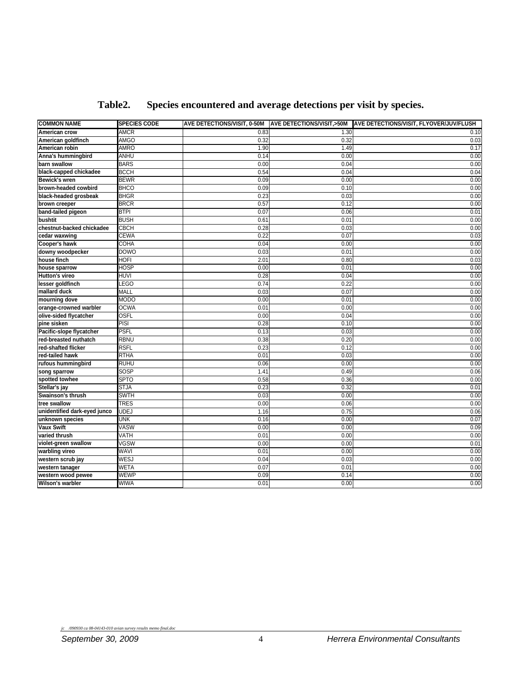| <b>COMMON NAME</b>           | <b>SPECIES CODE</b> |      |      | AVE DETECTIONS/VISIT, 0-50M  AVE DETECTIONS/VISIT,>50M  AVE DETECTIONS/VISIT, FLYOVER/JUV/FLUSH |
|------------------------------|---------------------|------|------|-------------------------------------------------------------------------------------------------|
| American crow                | <b>AMCR</b>         | 0.83 | 1.30 | 0.10                                                                                            |
| American goldfinch           | AMGO                | 0.32 | 0.32 | 0.03                                                                                            |
| American robin               | AMRO                | 1.90 | 1.49 | 0.17                                                                                            |
| Anna's hummingbird           | ANHU                | 0.14 | 0.00 | 0.00                                                                                            |
| barn swallow                 | <b>BARS</b>         | 0.00 | 0.04 | 0.00                                                                                            |
| black-capped chickadee       | <b>BCCH</b>         | 0.54 | 0.04 | 0.04                                                                                            |
| Bewick's wren                | <b>BEWR</b>         | 0.09 | 0.00 | 0.00                                                                                            |
| brown-headed cowbird         | <b>BHCO</b>         | 0.09 | 0.10 | 0.00                                                                                            |
| black-headed grosbeak        | <b>BHGR</b>         | 0.23 | 0.03 | 0.00                                                                                            |
| brown creeper                | <b>BRCR</b>         | 0.57 | 0.12 | 0.00                                                                                            |
| band-tailed pigeon           | <b>BTPI</b>         | 0.07 | 0.06 | 0.01                                                                                            |
| bushtit                      | <b>BUSH</b>         | 0.61 | 0.01 | 0.00                                                                                            |
| chestnut-backed chickadee    | <b>CBCH</b>         | 0.28 | 0.03 | 0.00                                                                                            |
| cedar waxwing                | <b>CEWA</b>         | 0.22 | 0.07 | 0.03                                                                                            |
| <b>Cooper's hawk</b>         | СОНА                | 0.04 | 0.00 | 0.00                                                                                            |
| downy woodpecker             | <b>DOWO</b>         | 0.03 | 0.01 | 0.00                                                                                            |
| house finch                  | HOFI                | 2.01 | 0.80 | 0.03                                                                                            |
| house sparrow                | HOSP                | 0.00 | 0.01 | 0.00                                                                                            |
| Hutton's vireo               | HUVI                | 0.28 | 0.04 | 0.00                                                                                            |
| lesser goldfinch             | LEGO                | 0.74 | 0.22 | 0.00                                                                                            |
| mallard duck                 | <b>MALL</b>         | 0.03 | 0.07 | 0.00                                                                                            |
| mourning dove                | MODO                | 0.00 | 0.01 | 0.00                                                                                            |
| orange-crowned warbler       | <b>OCWA</b>         | 0.01 | 0.00 | 0.00                                                                                            |
| olive-sided flycatcher       | OSFL                | 0.00 | 0.04 | 0.00                                                                                            |
| pine sisken                  | PISI                | 0.28 | 0.10 | 0.00                                                                                            |
| Pacific-slope flycatcher     | <b>PSFL</b>         | 0.13 | 0.03 | 0.00                                                                                            |
| red-breasted nuthatch        | RBNU                | 0.38 | 0.20 | 0.00                                                                                            |
| red-shafted flicker          | <b>RSFL</b>         | 0.23 | 0.12 | 0.00                                                                                            |
| red-tailed hawk              | <b>RTHA</b>         | 0.01 | 0.03 | 0.00                                                                                            |
| rufous hummingbird           | <b>RUHU</b>         | 0.06 | 0.00 | 0.00                                                                                            |
| song sparrow                 | SOSP                | 1.41 | 0.49 | 0.06                                                                                            |
| spotted towhee               | SPTO                | 0.58 | 0.36 | 0.00                                                                                            |
| Stellar's jay                | <b>STJA</b>         | 0.23 | 0.32 | 0.01                                                                                            |
| Swainson's thrush            | <b>SWTH</b>         | 0.03 | 0.00 | 0.00                                                                                            |
| tree swallow                 | <b>TRES</b>         | 0.00 | 0.06 | 0.00                                                                                            |
| unidentified dark-eyed junco | UDEJ                | 1.16 | 0.75 | 0.06                                                                                            |
| unknown species              | UNK                 | 0.16 | 0.00 | 0.07                                                                                            |
| Vaux Swift                   | VASW                | 0.00 | 0.00 | 0.09                                                                                            |
| varied thrush                | VATH                | 0.01 | 0.00 | 0.00                                                                                            |
| violet-green swallow         | VGSW                | 0.00 | 0.00 | 0.01                                                                                            |
| warbling vireo               | WAVI                | 0.01 | 0.00 | 0.00                                                                                            |
| western scrub jay            | WESJ                | 0.04 | 0.03 | 0.00                                                                                            |
| western tanager              | WETA                | 0.07 | 0.01 | 0.00                                                                                            |
| western wood pewee           | WEWP                | 0.09 | 0.14 | 0.00                                                                                            |
| Wilson's warbler             | WIWA                | 0.01 | 0.00 | 0.00                                                                                            |

## **Table2. Species encountered and average detections per visit by species.**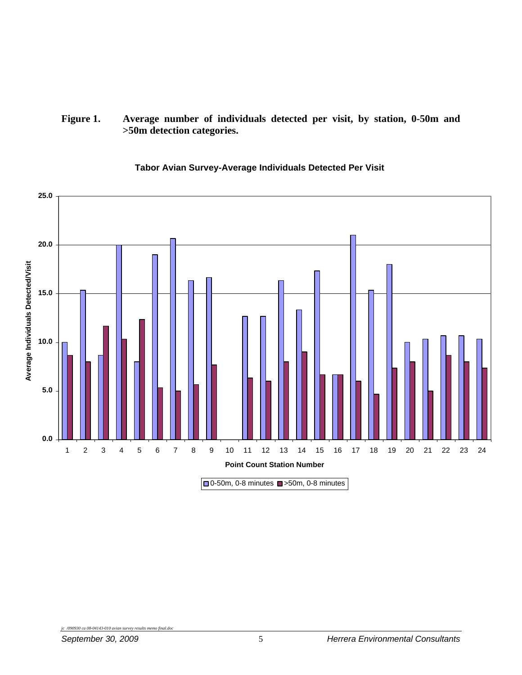#### **Figure 1. Average number of individuals detected per visit, by station, 0-50m and >50m detection categories.**



**Tabor Avian Survey-Average Individuals Detected Per Visit**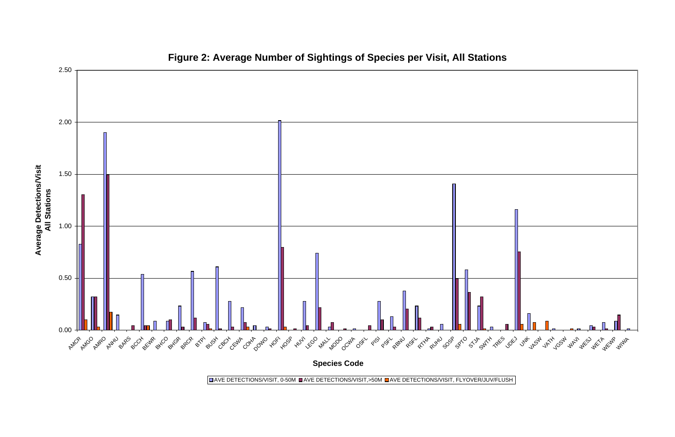

**Figure 2: Average Number of Sightings of Species per Visit, All Stations**

**DAVE DETECTIONS/VISIT, 0-50M DAVE DETECTIONS/VISIT,>50M DAVE DETECTIONS/VISIT, FLYOVER/JUV/FLUSH**